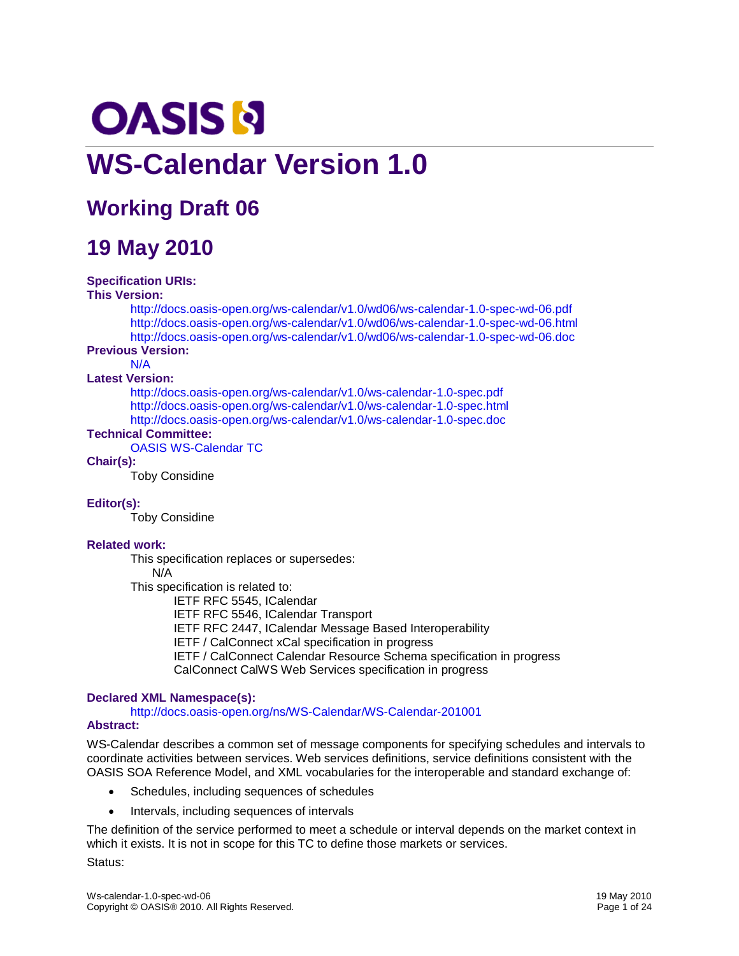# **OASIS N WS-Calendar Version 1.0**

# **Working Draft 06**

# **19 May 2010**

#### **Specification URIs:**

#### **This Version:**

<http://docs.oasis-open.org/ws-calendar/v1.0/wd06/ws-calendar-1.0-spec-wd-06.pdf> <http://docs.oasis-open.org/ws-calendar/v1.0/wd06/ws-calendar-1.0-spec-wd-06.html> <http://docs.oasis-open.org/ws-calendar/v1.0/wd06/ws-calendar-1.0-spec-wd-06.doc>

#### **Previous Version:**

N/A

#### **Latest Version:**

<http://docs.oasis-open.org/ws-calendar/v1.0/ws-calendar-1.0-spec.pdf> <http://docs.oasis-open.org/ws-calendar/v1.0/ws-calendar-1.0-spec.html> <http://docs.oasis-open.org/ws-calendar/v1.0/ws-calendar-1.0-spec.doc>

#### **Technical Committee:**

[OASIS WS-Calendar](http://www.oasis-open.org/committees/ws-calendar/) TC

#### **Chair(s):**

Toby Considine

#### **Editor(s):**

Toby Considine

#### **Related work:**

This specification replaces or supersedes:

#### N/A

This specification is related to:

IETF RFC 5545, ICalendar

IETF RFC 5546, ICalendar Transport

IETF RFC 2447, ICalendar Message Based Interoperability

IETF / CalConnect xCal specification in progress

IETF / CalConnect Calendar Resource Schema specification in progress

CalConnect CalWS Web Services specification in progress

#### **Declared XML Namespace(s):**

<http://docs.oasis-open.org/ns/WS-Calendar/WS-Calendar-201001>

#### **Abstract:**

WS-Calendar describes a common set of message components for specifying schedules and intervals to coordinate activities between services. Web services definitions, service definitions consistent with the OASIS SOA Reference Model, and XML vocabularies for the interoperable and standard exchange of:

- Schedules, including sequences of schedules
- Intervals, including sequences of intervals

The definition of the service performed to meet a schedule or interval depends on the market context in which it exists. It is not in scope for this TC to define those markets or services.

#### Status: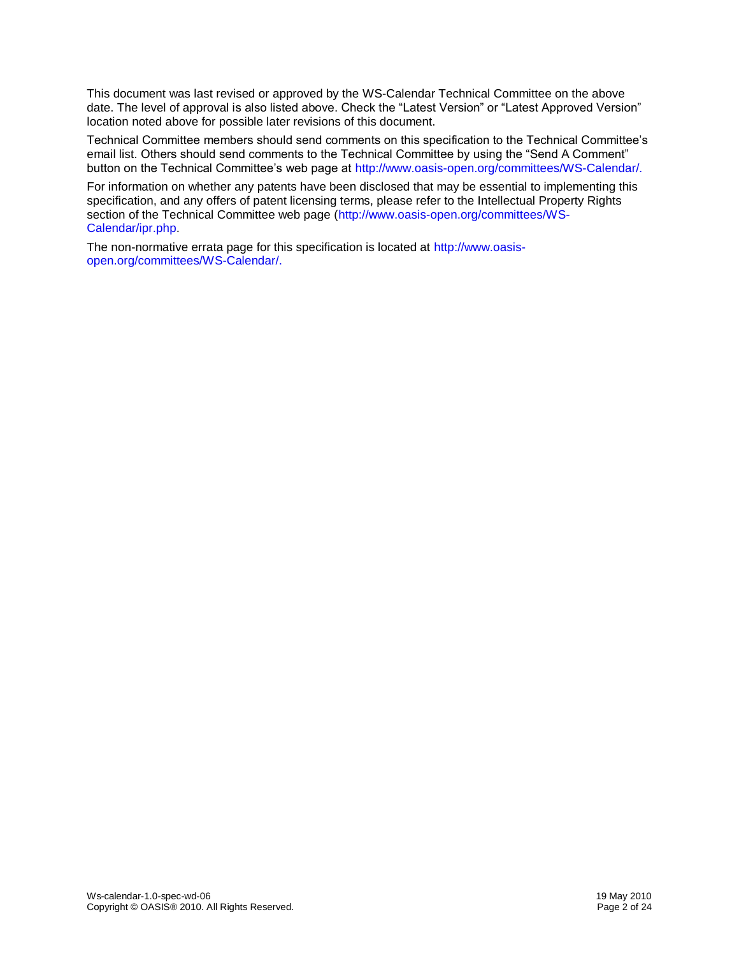This document was last revised or approved by the WS-Calendar Technical Committee on the above date. The level of approval is also listed above. Check the "Latest Version" or "Latest Approved Version" location noted above for possible later revisions of this document.

Technical Committee members should send comments on this specification to the Technical Committee's email list. Others should send comments to the Technical Committee by using the "Send A Comment" button on the Technical Committee's web page at [http://www.oasis-open.org/committees/WS-Calendar/.](http://www.oasis-open.org/committees/WS-Calendar/)

For information on whether any patents have been disclosed that may be essential to implementing this specification, and any offers of patent licensing terms, please refer to the Intellectual Property Rights section of the Technical Committee web page [\(http://www.oasis-open.org/committees/WS-](http://www.oasis-open.org/committees/WS-Calendar/ipr.php)[Calendar/ipr.php.](http://www.oasis-open.org/committees/WS-Calendar/ipr.php)

The non-normative errata page for this specification is located at [http://www.oasis](http://www.oasis-open.org/committees/WS-Calendar/)[open.org/committees/WS-Calendar/.](http://www.oasis-open.org/committees/WS-Calendar/)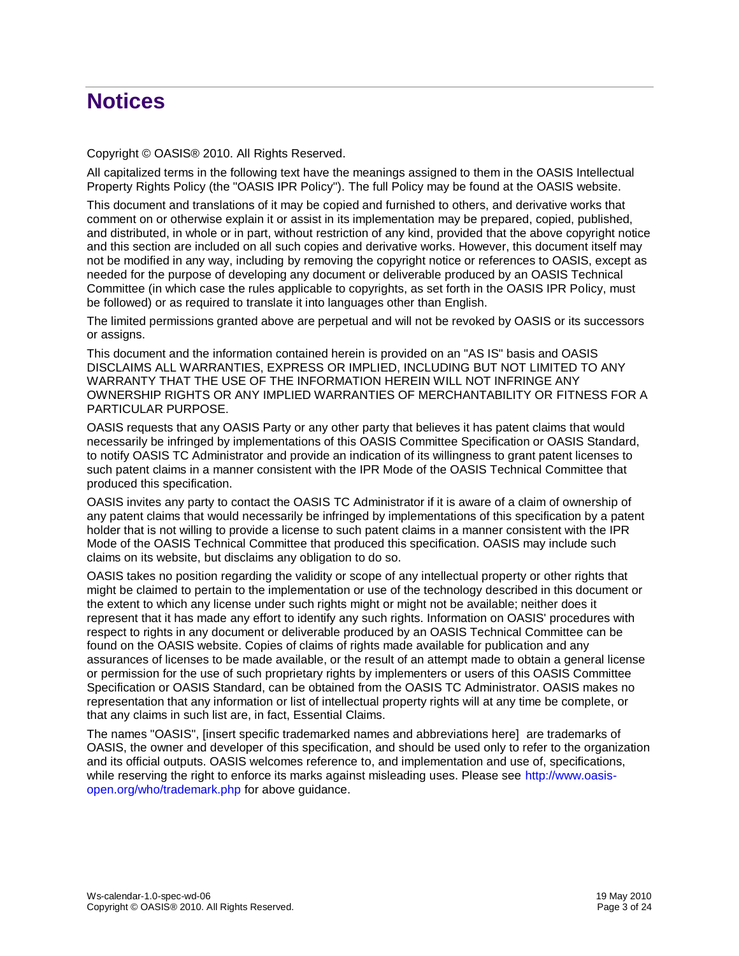# **Notices**

Copyright © OASIS® 2010. All Rights Reserved.

All capitalized terms in the following text have the meanings assigned to them in the OASIS Intellectual Property Rights Policy (the "OASIS IPR Policy"). The full Policy may be found at the OASIS website.

This document and translations of it may be copied and furnished to others, and derivative works that comment on or otherwise explain it or assist in its implementation may be prepared, copied, published, and distributed, in whole or in part, without restriction of any kind, provided that the above copyright notice and this section are included on all such copies and derivative works. However, this document itself may not be modified in any way, including by removing the copyright notice or references to OASIS, except as needed for the purpose of developing any document or deliverable produced by an OASIS Technical Committee (in which case the rules applicable to copyrights, as set forth in the OASIS IPR Policy, must be followed) or as required to translate it into languages other than English.

The limited permissions granted above are perpetual and will not be revoked by OASIS or its successors or assigns.

This document and the information contained herein is provided on an "AS IS" basis and OASIS DISCLAIMS ALL WARRANTIES, EXPRESS OR IMPLIED, INCLUDING BUT NOT LIMITED TO ANY WARRANTY THAT THE USE OF THE INFORMATION HEREIN WILL NOT INFRINGE ANY OWNERSHIP RIGHTS OR ANY IMPLIED WARRANTIES OF MERCHANTABILITY OR FITNESS FOR A PARTICULAR PURPOSE.

OASIS requests that any OASIS Party or any other party that believes it has patent claims that would necessarily be infringed by implementations of this OASIS Committee Specification or OASIS Standard, to notify OASIS TC Administrator and provide an indication of its willingness to grant patent licenses to such patent claims in a manner consistent with the IPR Mode of the OASIS Technical Committee that produced this specification.

OASIS invites any party to contact the OASIS TC Administrator if it is aware of a claim of ownership of any patent claims that would necessarily be infringed by implementations of this specification by a patent holder that is not willing to provide a license to such patent claims in a manner consistent with the IPR Mode of the OASIS Technical Committee that produced this specification. OASIS may include such claims on its website, but disclaims any obligation to do so.

OASIS takes no position regarding the validity or scope of any intellectual property or other rights that might be claimed to pertain to the implementation or use of the technology described in this document or the extent to which any license under such rights might or might not be available; neither does it represent that it has made any effort to identify any such rights. Information on OASIS' procedures with respect to rights in any document or deliverable produced by an OASIS Technical Committee can be found on the OASIS website. Copies of claims of rights made available for publication and any assurances of licenses to be made available, or the result of an attempt made to obtain a general license or permission for the use of such proprietary rights by implementers or users of this OASIS Committee Specification or OASIS Standard, can be obtained from the OASIS TC Administrator. OASIS makes no representation that any information or list of intellectual property rights will at any time be complete, or that any claims in such list are, in fact, Essential Claims.

The names "OASIS", [insert specific trademarked names and abbreviations here] are trademarks of OASIS, the owner and developer of this specification, and should be used only to refer to the organization and its official outputs. OASIS welcomes reference to, and implementation and use of, specifications, while reserving the right to enforce its marks against misleading uses. Please see [http://www.oasis](http://www.oasis-open.org/who/trademark.php)[open.org/who/trademark.php](http://www.oasis-open.org/who/trademark.php) for above guidance.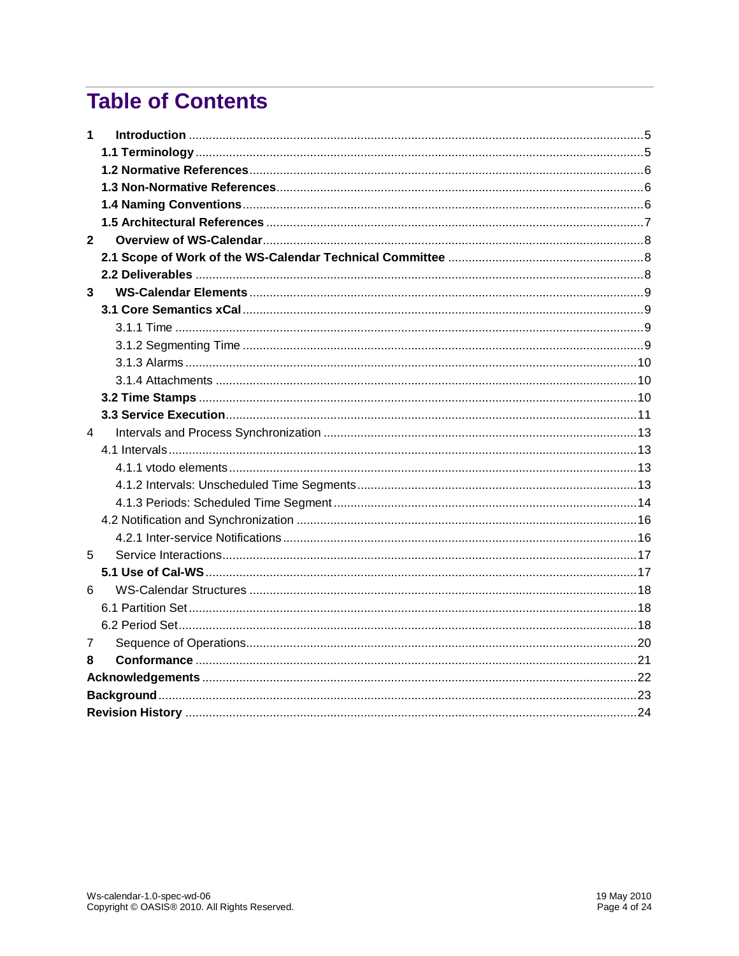# **Table of Contents**

| 1            |  |  |  |
|--------------|--|--|--|
|              |  |  |  |
|              |  |  |  |
|              |  |  |  |
|              |  |  |  |
|              |  |  |  |
| $\mathbf{2}$ |  |  |  |
|              |  |  |  |
|              |  |  |  |
| 3            |  |  |  |
|              |  |  |  |
|              |  |  |  |
|              |  |  |  |
|              |  |  |  |
|              |  |  |  |
|              |  |  |  |
|              |  |  |  |
| 4            |  |  |  |
|              |  |  |  |
|              |  |  |  |
|              |  |  |  |
|              |  |  |  |
|              |  |  |  |
|              |  |  |  |
| 5            |  |  |  |
|              |  |  |  |
| 6            |  |  |  |
|              |  |  |  |
|              |  |  |  |
| 7            |  |  |  |
| 8            |  |  |  |
|              |  |  |  |
|              |  |  |  |
|              |  |  |  |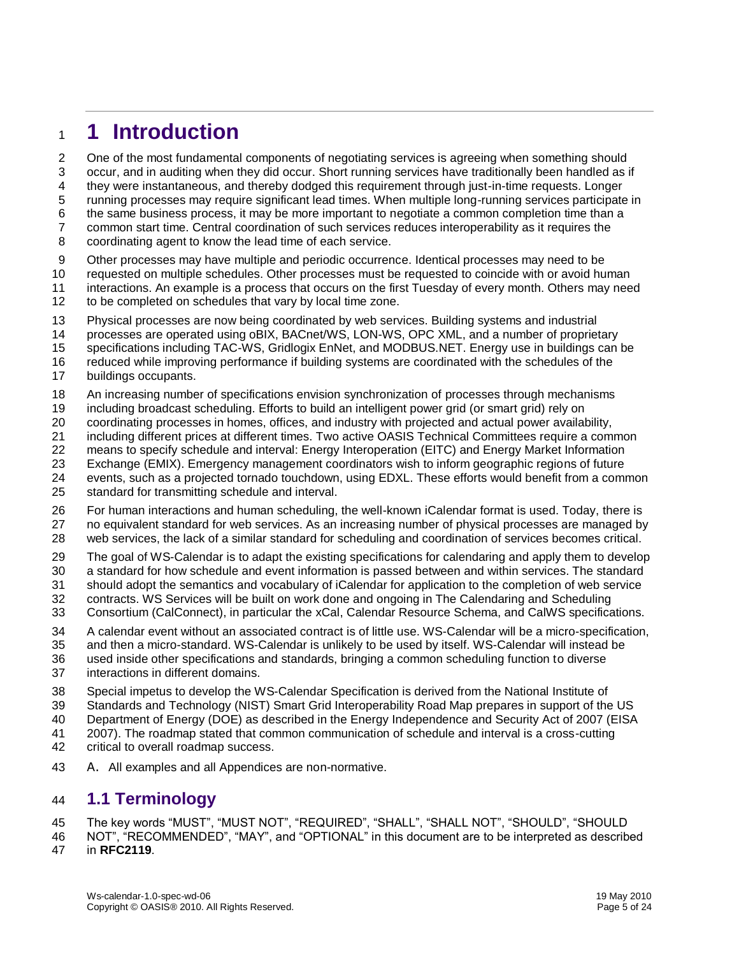# <span id="page-4-0"></span>**1 Introduction**

One of the most fundamental components of negotiating services is agreeing when something should

- occur, and in auditing when they did occur. Short running services have traditionally been handled as if
- they were instantaneous, and thereby dodged this requirement through just-in-time requests. Longer
- running processes may require significant lead times. When multiple long-running services participate in
- the same business process, it may be more important to negotiate a common completion time than a
- common start time. Central coordination of such services reduces interoperability as it requires the
- coordinating agent to know the lead time of each service.
- Other processes may have multiple and periodic occurrence. Identical processes may need to be
- requested on multiple schedules. Other processes must be requested to coincide with or avoid human
- interactions. An example is a process that occurs on the first Tuesday of every month. Others may need
- 12 to be completed on schedules that vary by local time zone.
- Physical processes are now being coordinated by web services. Building systems and industrial
- processes are operated using oBIX, BACnet/WS, LON-WS, OPC XML, and a number of proprietary
- specifications including TAC-WS, Gridlogix EnNet, and MODBUS.NET. Energy use in buildings can be
- reduced while improving performance if building systems are coordinated with the schedules of the
- buildings occupants.
- An increasing number of specifications envision synchronization of processes through mechanisms
- including broadcast scheduling. Efforts to build an intelligent power grid (or smart grid) rely on
- coordinating processes in homes, offices, and industry with projected and actual power availability,
- including different prices at different times. Two active OASIS Technical Committees require a common
- means to specify schedule and interval: Energy Interoperation (EITC) and Energy Market Information
- Exchange (EMIX). Emergency management coordinators wish to inform geographic regions of future
- events, such as a projected tornado touchdown, using EDXL. These efforts would benefit from a common standard for transmitting schedule and interval.
- For human interactions and human scheduling, the well-known iCalendar format is used. Today, there is no equivalent standard for web services. As an increasing number of physical processes are managed by
- web services, the lack of a similar standard for scheduling and coordination of services becomes critical.
- The goal of WS-Calendar is to adapt the existing specifications for calendaring and apply them to develop
- a standard for how schedule and event information is passed between and within services. The standard
- should adopt the semantics and vocabulary of iCalendar for application to the completion of web service
- contracts. WS Services will be built on work done and ongoing in The Calendaring and Scheduling
- Consortium (CalConnect), in particular the xCal, Calendar Resource Schema, and CalWS specifications.
- A calendar event without an associated contract is of little use. WS-Calendar will be a micro-specification,
- and then a micro-standard. WS-Calendar is unlikely to be used by itself. WS-Calendar will instead be
- used inside other specifications and standards, bringing a common scheduling function to diverse interactions in different domains.
- Special impetus to develop the WS-Calendar Specification is derived from the National Institute of
- Standards and Technology (NIST) Smart Grid Interoperability Road Map prepares in support of the US
- Department of Energy (DOE) as described in the Energy Independence and Security Act of 2007 (EISA
- 2007). The roadmap stated that common communication of schedule and interval is a cross-cutting
- critical to overall roadmap success.
- A. All examples and all Appendices are non-normative.

### <span id="page-4-1"></span>**1.1 Terminology**

- The key words "MUST", "MUST NOT", "REQUIRED", "SHALL", "SHALL NOT", "SHOULD", "SHOULD
- NOT", "RECOMMENDED", "MAY", and "OPTIONAL" in this document are to be interpreted as described
- in **[RFC2119](#page-5-3)**.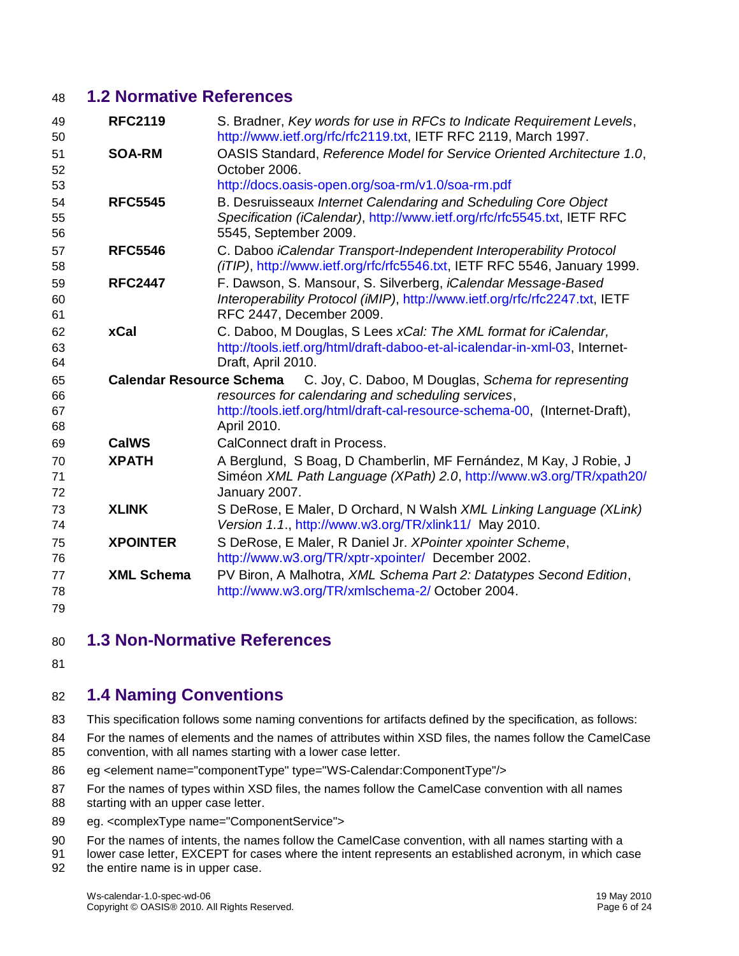### <span id="page-5-0"></span>**1.2 Normative References**

<span id="page-5-3"></span>

| 49<br>50             | <b>RFC2119</b>    | S. Bradner, Key words for use in RFCs to Indicate Requirement Levels,<br>http://www.ietf.org/rfc/rfc2119.txt, IETF RFC 2119, March 1997.                                                                                         |
|----------------------|-------------------|----------------------------------------------------------------------------------------------------------------------------------------------------------------------------------------------------------------------------------|
| 51<br>52             | <b>SOA-RM</b>     | OASIS Standard, Reference Model for Service Oriented Architecture 1.0,<br>October 2006.                                                                                                                                          |
| 53                   |                   | http://docs.oasis-open.org/soa-rm/v1.0/soa-rm.pdf                                                                                                                                                                                |
| 54<br>55<br>56       | <b>RFC5545</b>    | B. Desruisseaux Internet Calendaring and Scheduling Core Object<br>Specification (iCalendar), http://www.ietf.org/rfc/rfc5545.txt, IETF RFC<br>5545, September 2009.                                                             |
| 57<br>58             | <b>RFC5546</b>    | C. Daboo iCalendar Transport-Independent Interoperability Protocol<br>(iTIP), http://www.ietf.org/rfc/rfc5546.txt, IETF RFC 5546, January 1999.                                                                                  |
| 59<br>60<br>61       | <b>RFC2447</b>    | F. Dawson, S. Mansour, S. Silverberg, <i>iCalendar Message-Based</i><br>Interoperability Protocol (iMIP), http://www.ietf.org/rfc/rfc2247.txt, IETF<br>RFC 2447, December 2009.                                                  |
| 62<br>63<br>64       | xCal              | C. Daboo, M Douglas, S Lees xCal: The XML format for iCalendar,<br>http://tools.ietf.org/html/draft-daboo-et-al-icalendar-in-xml-03, Internet-<br>Draft, April 2010.                                                             |
| 65<br>66<br>67<br>68 |                   | Calendar Resource Schema C. Joy, C. Daboo, M Douglas, Schema for representing<br>resources for calendaring and scheduling services,<br>http://tools.ietf.org/html/draft-cal-resource-schema-00, (Internet-Draft),<br>April 2010. |
| 69                   | <b>CalWS</b>      | CalConnect draft in Process.                                                                                                                                                                                                     |
| 70<br>71<br>72       | <b>XPATH</b>      | A Berglund, S Boag, D Chamberlin, MF Fernández, M Kay, J Robie, J<br>Siméon XML Path Language (XPath) 2.0, http://www.w3.org/TR/xpath20/<br>January 2007.                                                                        |
| 73<br>74             | <b>XLINK</b>      | S DeRose, E Maler, D Orchard, N Walsh XML Linking Language (XLink)<br>Version 1.1., http://www.w3.org/TR/xlink11/ May 2010.                                                                                                      |
| 75<br>76             | <b>XPOINTER</b>   | S DeRose, E Maler, R Daniel Jr. XPointer xpointer Scheme,<br>http://www.w3.org/TR/xptr-xpointer/ December 2002.                                                                                                                  |
| 77                   | <b>XML Schema</b> | PV Biron, A Malhotra, XML Schema Part 2: Datatypes Second Edition,                                                                                                                                                               |
| 78                   |                   | http://www.w3.org/TR/xmlschema-2/ October 2004.                                                                                                                                                                                  |
| 79                   |                   |                                                                                                                                                                                                                                  |

- <span id="page-5-1"></span>**1.3 Non-Normative References**
- 

## <span id="page-5-2"></span>**1.4 Naming Conventions**

- This specification follows some naming conventions for artifacts defined by the specification, as follows:
- For the names of elements and the names of attributes within XSD files, the names follow the CamelCase convention, with all names starting with a lower case letter.
- eg <element name="componentType" type="WS-Calendar:ComponentType"/>
- For the names of types within XSD files, the names follow the CamelCase convention with all names
- 88 starting with an upper case letter.
- 89 eg. <complexType name="ComponentService">
- For the names of intents, the names follow the CamelCase convention, with all names starting with a
- lower case letter, EXCEPT for cases where the intent represents an established acronym, in which case
- the entire name is in upper case.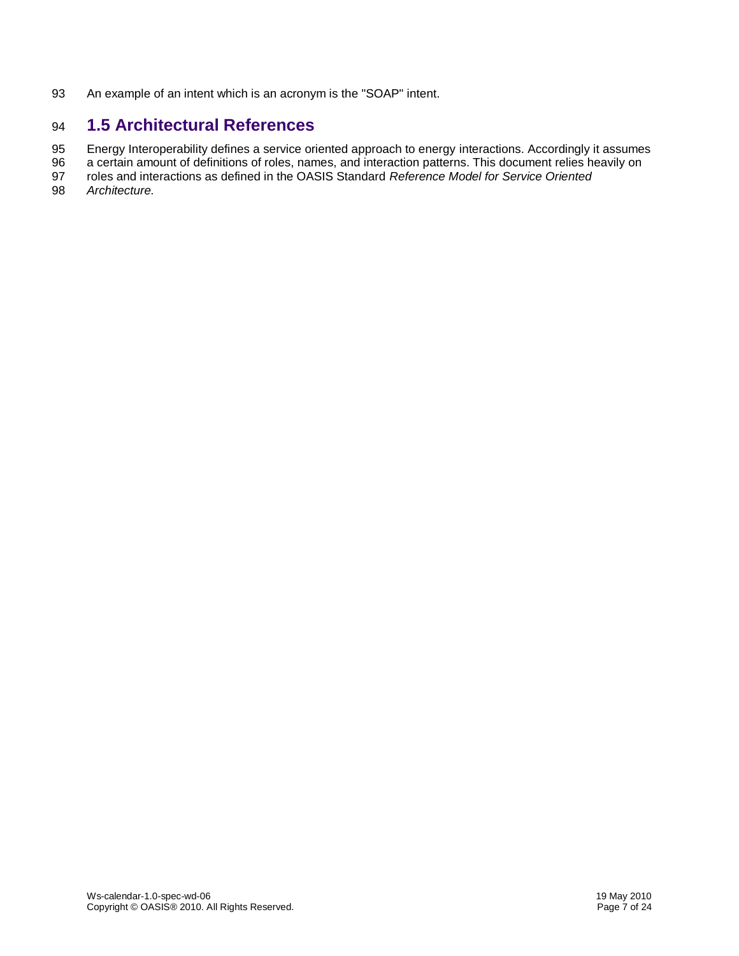An example of an intent which is an acronym is the "SOAP" intent.

# <span id="page-6-0"></span>**1.5 Architectural References**

Energy Interoperability defines a service oriented approach to energy interactions. Accordingly it assumes

a certain amount of definitions of roles, names, and interaction patterns. This document relies heavily on

roles and interactions as defined in the OASIS Standard *Reference Model for Service Oriented* 

*Architecture.*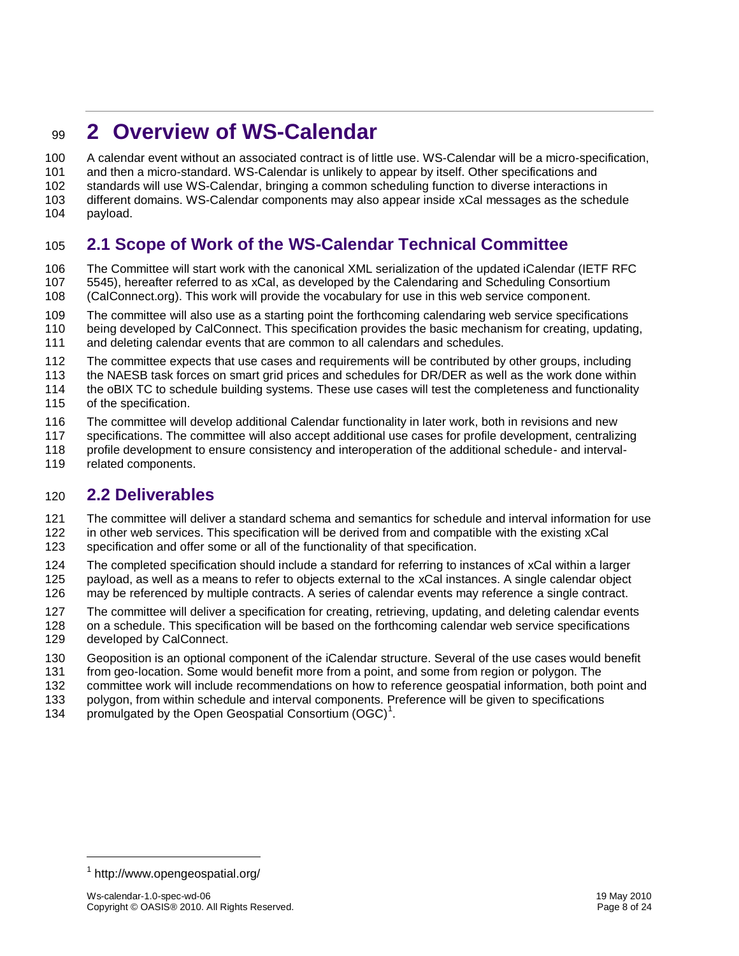# <span id="page-7-0"></span>**2 Overview of WS-Calendar**

A calendar event without an associated contract is of little use. WS-Calendar will be a micro-specification,

- and then a micro-standard. WS-Calendar is unlikely to appear by itself. Other specifications and
- standards will use WS-Calendar, bringing a common scheduling function to diverse interactions in

different domains. WS-Calendar components may also appear inside xCal messages as the schedule

payload.

# <span id="page-7-1"></span>**2.1 Scope of Work of the WS-Calendar Technical Committee**

 The Committee will start work with the canonical XML serialization of the updated iCalendar (IETF RFC 5545), hereafter referred to as xCal, as developed by the Calendaring and Scheduling Consortium (CalConnect.org). This work will provide the vocabulary for use in this web service component.

- The committee will also use as a starting point the forthcoming calendaring web service specifications
- being developed by CalConnect. This specification provides the basic mechanism for creating, updating,
- and deleting calendar events that are common to all calendars and schedules.
- The committee expects that use cases and requirements will be contributed by other groups, including
- the NAESB task forces on smart grid prices and schedules for DR/DER as well as the work done within
- the oBIX TC to schedule building systems. These use cases will test the completeness and functionality
- of the specification.
- The committee will develop additional Calendar functionality in later work, both in revisions and new
- specifications. The committee will also accept additional use cases for profile development, centralizing
- profile development to ensure consistency and interoperation of the additional schedule- and interval-
- related components.

### <span id="page-7-2"></span>**2.2 Deliverables**

- The committee will deliver a standard schema and semantics for schedule and interval information for use
- in other web services. This specification will be derived from and compatible with the existing xCal
- specification and offer some or all of the functionality of that specification.
- The completed specification should include a standard for referring to instances of xCal within a larger payload, as well as a means to refer to objects external to the xCal instances. A single calendar object may be referenced by multiple contracts. A series of calendar events may reference a single contract.
- The committee will deliver a specification for creating, retrieving, updating, and deleting calendar events
- on a schedule. This specification will be based on the forthcoming calendar web service specifications
- developed by CalConnect.
- Geoposition is an optional component of the iCalendar structure. Several of the use cases would benefit
- from geo-location. Some would benefit more from a point, and some from region or polygon. The
- committee work will include recommendations on how to reference geospatial information, both point and
- polygon, from within schedule and interval components. Preference will be given to specifications
- 134 promulgated by the Open Geospatial Consortium  $(OGC)^1$ .

-

http://www.opengeospatial.org/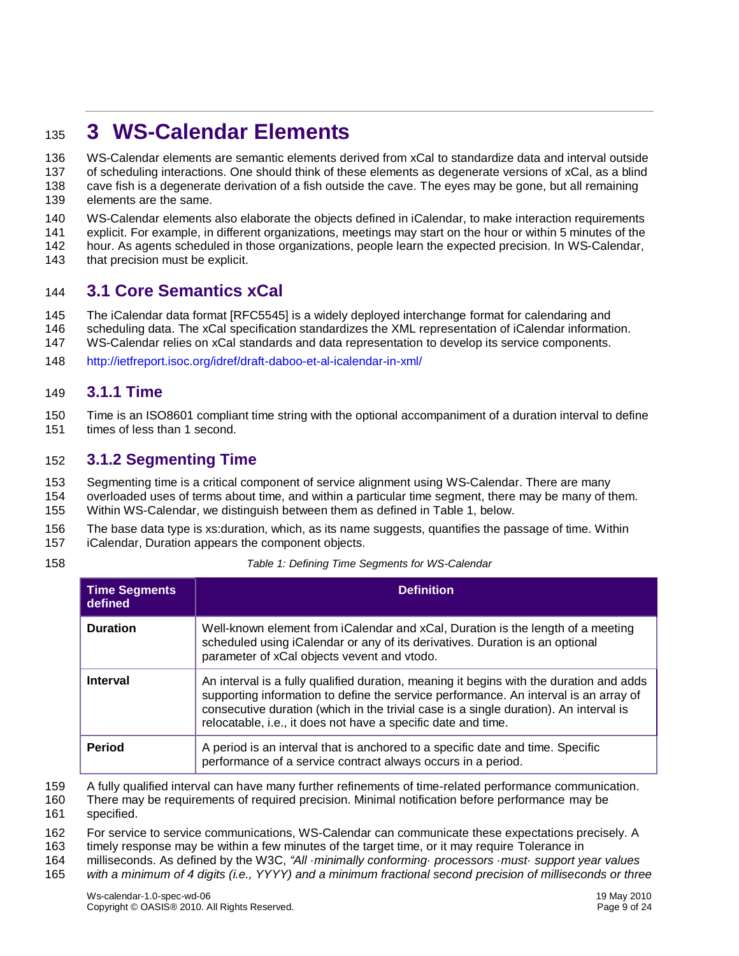# <span id="page-8-0"></span>**3 WS-Calendar Elements**

- WS-Calendar elements are semantic elements derived from xCal to standardize data and interval outside
- of scheduling interactions. One should think of these elements as degenerate versions of xCal, as a blind
- cave fish is a degenerate derivation of a fish outside the cave. The eyes may be gone, but all remaining elements are the same.
- WS-Calendar elements also elaborate the objects defined in iCalendar, to make interaction requirements
- explicit. For example, in different organizations, meetings may start on the hour or within 5 minutes of the
- hour. As agents scheduled in those organizations, people learn the expected precision. In WS-Calendar,
- 143 that precision must be explicit.

### <span id="page-8-1"></span>**3.1 Core Semantics xCal**

- The iCalendar data format [RFC5545] is a widely deployed interchange format for calendaring and
- scheduling data. The xCal specification standardizes the XML representation of iCalendar information.
- WS-Calendar relies on xCal standards and data representation to develop its service components.
- <http://ietfreport.isoc.org/idref/draft-daboo-et-al-icalendar-in-xml/>

#### <span id="page-8-2"></span>**3.1.1 Time**

- Time is an ISO8601 compliant time string with the optional accompaniment of a duration interval to define
- times of less than 1 second.

#### <span id="page-8-3"></span>**3.1.2 Segmenting Time**

- Segmenting time is a critical component of service alignment using WS-Calendar. There are many
- overloaded uses of terms about time, and within a particular time segment, there may be many of them. Within WS-Calendar, we distinguish between them as defined in [Table 1,](#page-8-4) below.
- The base data type is xs:duration, which, as its name suggests, quantifies the passage of time. Within
- iCalendar, Duration appears the component objects.
- 

*Table 1: Defining Time Segments for WS-Calendar*

<span id="page-8-4"></span>

| <b>Time Segments</b><br>defined | <b>Definition</b>                                                                                                                                                                                                                                                                                                                         |
|---------------------------------|-------------------------------------------------------------------------------------------------------------------------------------------------------------------------------------------------------------------------------------------------------------------------------------------------------------------------------------------|
| <b>Duration</b>                 | Well-known element from iCalendar and xCal, Duration is the length of a meeting<br>scheduled using iCalendar or any of its derivatives. Duration is an optional<br>parameter of xCal objects vevent and vtodo.                                                                                                                            |
| <b>Interval</b>                 | An interval is a fully qualified duration, meaning it begins with the duration and adds<br>supporting information to define the service performance. An interval is an array of<br>consecutive duration (which in the trivial case is a single duration). An interval is<br>relocatable, i.e., it does not have a specific date and time. |
| <b>Period</b>                   | A period is an interval that is anchored to a specific date and time. Specific<br>performance of a service contract always occurs in a period.                                                                                                                                                                                            |

A fully qualified interval can have many further refinements of time-related performance communication.

- There may be requirements of required precision. Minimal notification before performance may be
- specified.
- For service to service communications, WS-Calendar can communicate these expectations precisely. A
- timely response may be within a few minutes of the target time, or it may require Tolerance in
- milliseconds. As defined by the W3C, *"All ·minimally conforming· processors ·must· support year values*
- *with a minimum of 4 digits (i.e., YYYY) and a minimum fractional second precision of milliseconds or three*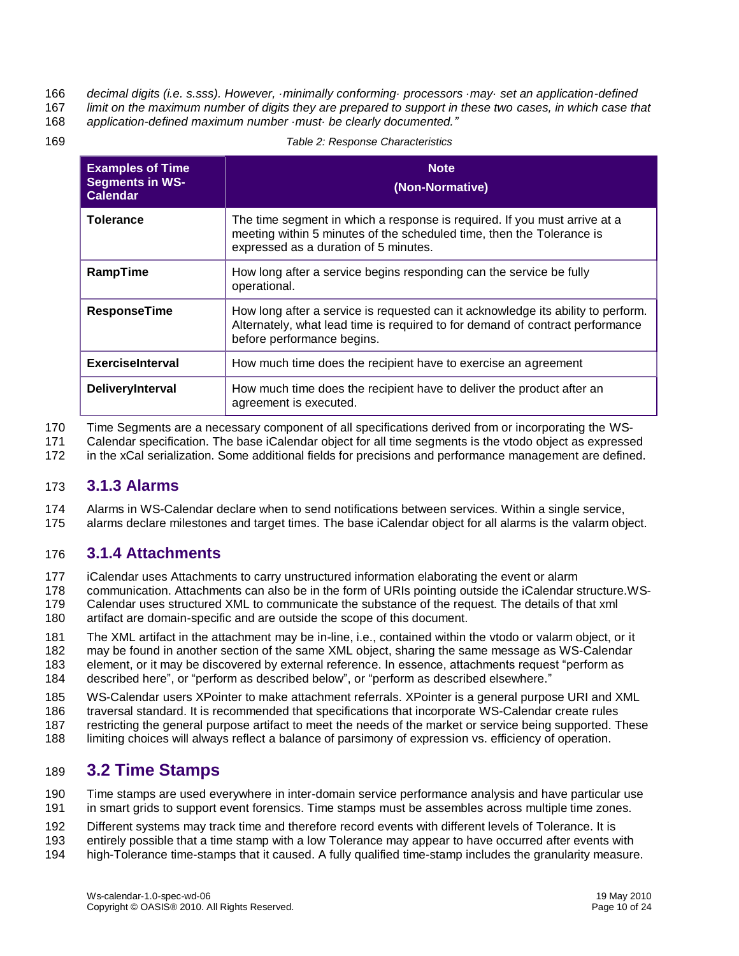*decimal digits (i.e. s.sss). However, ·minimally conforming· processors ·may· set an application-defined* 

*limit on the maximum number of digits they are prepared to support in these two cases, in which case that* 

*application-defined maximum number ·must· be clearly documented."*

*Table 2: Response Characteristics*

| <b>Examples of Time</b><br><b>Segments in WS-</b><br><b>Calendar</b> | <b>Note</b><br>(Non-Normative)                                                                                                                                                                  |  |
|----------------------------------------------------------------------|-------------------------------------------------------------------------------------------------------------------------------------------------------------------------------------------------|--|
| <b>Tolerance</b>                                                     | The time segment in which a response is required. If you must arrive at a<br>meeting within 5 minutes of the scheduled time, then the Tolerance is<br>expressed as a duration of 5 minutes.     |  |
| RampTime                                                             | How long after a service begins responding can the service be fully<br>operational.                                                                                                             |  |
| <b>ResponseTime</b>                                                  | How long after a service is requested can it acknowledge its ability to perform.<br>Alternately, what lead time is required to for demand of contract performance<br>before performance begins. |  |
| <b>ExerciseInterval</b>                                              | How much time does the recipient have to exercise an agreement                                                                                                                                  |  |
| DeliveryInterval                                                     | How much time does the recipient have to deliver the product after an<br>agreement is executed.                                                                                                 |  |

Time Segments are a necessary component of all specifications derived from or incorporating the WS-

Calendar specification. The base iCalendar object for all time segments is the vtodo object as expressed

in the xCal serialization. Some additional fields for precisions and performance management are defined.

#### <span id="page-9-0"></span>**3.1.3 Alarms**

Alarms in WS-Calendar declare when to send notifications between services. Within a single service,

alarms declare milestones and target times. The base iCalendar object for all alarms is the valarm object.

### <span id="page-9-1"></span>**3.1.4 Attachments**

iCalendar uses Attachments to carry unstructured information elaborating the event or alarm

 communication. Attachments can also be in the form of URIs pointing outside the iCalendar structure.WS-Calendar uses structured XML to communicate the substance of the request. The details of that xml

artifact are domain-specific and are outside the scope of this document.

The XML artifact in the attachment may be in-line, i.e., contained within the vtodo or valarm object, or it

may be found in another section of the same XML object, sharing the same message as WS-Calendar

element, or it may be discovered by external reference. In essence, attachments request "perform as

described here", or "perform as described below", or "perform as described elsewhere."

WS-Calendar users XPointer to make attachment referrals. XPointer is a general purpose URI and XML

traversal standard. It is recommended that specifications that incorporate WS-Calendar create rules

restricting the general purpose artifact to meet the needs of the market or service being supported. These

limiting choices will always reflect a balance of parsimony of expression vs. efficiency of operation.

### <span id="page-9-2"></span>**3.2 Time Stamps**

 Time stamps are used everywhere in inter-domain service performance analysis and have particular use in smart grids to support event forensics. Time stamps must be assembles across multiple time zones.

Different systems may track time and therefore record events with different levels of Tolerance. It is

- entirely possible that a time stamp with a low Tolerance may appear to have occurred after events with
- high-Tolerance time-stamps that it caused. A fully qualified time-stamp includes the granularity measure.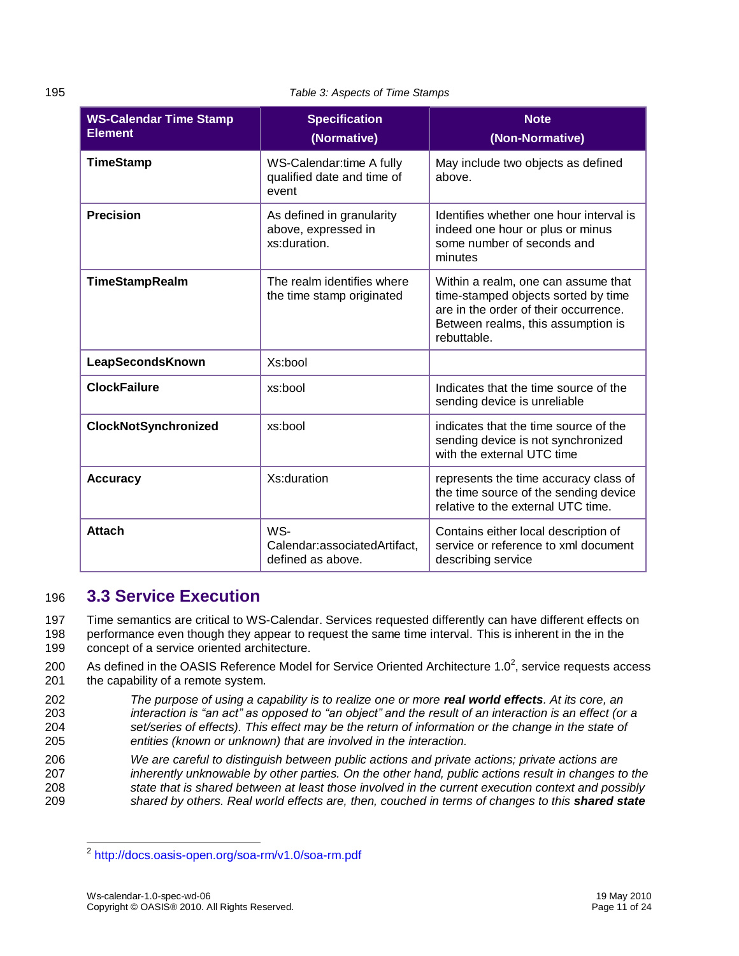195 *Table 3: Aspects of Time Stamps*

| <b>WS-Calendar Time Stamp</b><br><b>Element</b> | <b>Specification</b><br>(Normative)                              | <b>Note</b><br>(Non-Normative)                                                                                                                                           |
|-------------------------------------------------|------------------------------------------------------------------|--------------------------------------------------------------------------------------------------------------------------------------------------------------------------|
| <b>TimeStamp</b>                                | WS-Calendar:time A fully<br>qualified date and time of<br>event  | May include two objects as defined<br>above.                                                                                                                             |
| <b>Precision</b>                                | As defined in granularity<br>above, expressed in<br>xs:duration. | Identifies whether one hour interval is<br>indeed one hour or plus or minus<br>some number of seconds and<br>minutes                                                     |
| <b>TimeStampRealm</b>                           | The realm identifies where<br>the time stamp originated          | Within a realm, one can assume that<br>time-stamped objects sorted by time<br>are in the order of their occurrence.<br>Between realms, this assumption is<br>rebuttable. |
| LeapSecondsKnown                                | Xs:bool                                                          |                                                                                                                                                                          |
| <b>ClockFailure</b>                             | xs:bool                                                          | Indicates that the time source of the<br>sending device is unreliable                                                                                                    |
| <b>ClockNotSynchronized</b>                     | xs:bool                                                          | indicates that the time source of the<br>sending device is not synchronized<br>with the external UTC time                                                                |
| <b>Accuracy</b>                                 | Xs:duration                                                      | represents the time accuracy class of<br>the time source of the sending device<br>relative to the external UTC time.                                                     |
| <b>Attach</b>                                   | WS-<br>Calendar:associatedArtifact,<br>defined as above.         | Contains either local description of<br>service or reference to xml document<br>describing service                                                                       |

### <span id="page-10-0"></span>196 **3.3 Service Execution**

197 Time semantics are critical to WS-Calendar. Services requested differently can have different effects on 198 performance even though they appear to request the same time interval. This is inherent in the in the 199 concept of a service oriented architecture.

- 200 As defined in the OASIS Reference Model for Service Oriented Architecture 1.0<sup>2</sup>, service requests access 201 the capability of a remote system.
- 202 *The purpose of using a capability is to realize one or more real world effects. At its core, an*  203 *interaction is "an act" as opposed to "an object" and the result of an interaction is an effect (or a*  204 *set/series of effects). This effect may be the return of information or the change in the state of*  205 *entities (known or unknown) that are involved in the interaction.*
- 206 *We are careful to distinguish between public actions and private actions; private actions are*  207 *inherently unknowable by other parties. On the other hand, public actions result in changes to the*  208 *state that is shared between at least those involved in the current execution context and possibly*  209 *shared by others. Real world effects are, then, couched in terms of changes to this shared state*

 2 <http://docs.oasis-open.org/soa-rm/v1.0/soa-rm.pdf>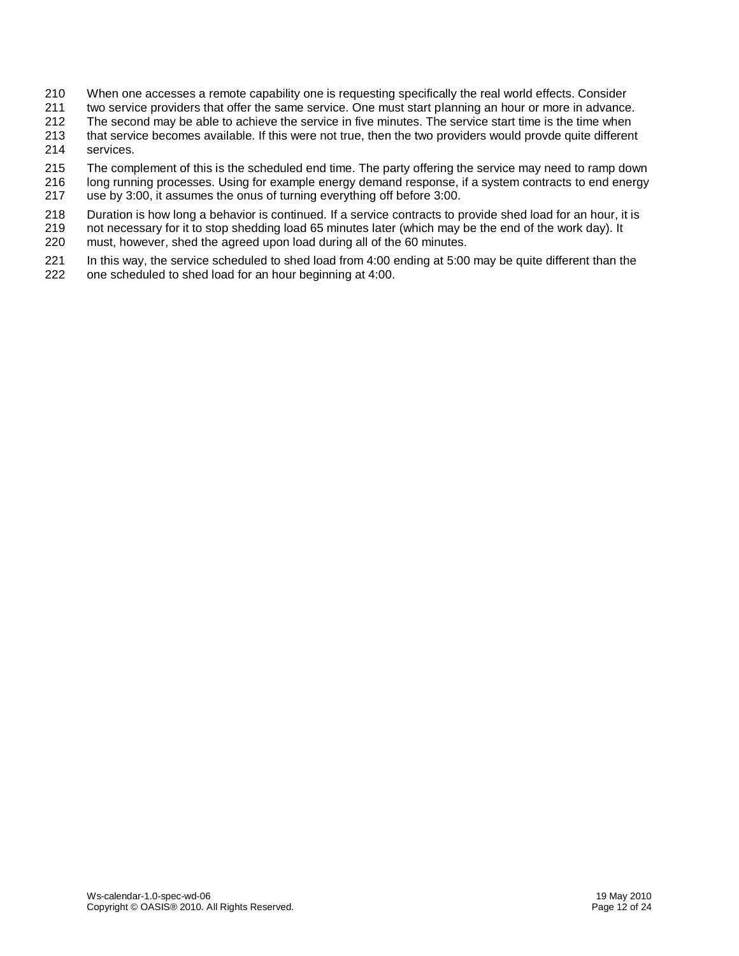- When one accesses a remote capability one is requesting specifically the real world effects. Consider
- two service providers that offer the same service. One must start planning an hour or more in advance.
- The second may be able to achieve the service in five minutes. The service start time is the time when
- that service becomes available. If this were not true, then the two providers would provde quite different services.
- The complement of this is the scheduled end time. The party offering the service may need to ramp down
- long running processes. Using for example energy demand response, if a system contracts to end energy use by 3:00, it assumes the onus of turning everything off before 3:00.
- 218 Duration is how long a behavior is continued. If a service contracts to provide shed load for an hour, it is<br>219 not necessary for it to stop shedding load 65 minutes later (which may be the end of the work day). It
- not necessary for it to stop shedding load 65 minutes later (which may be the end of the work day). It
- must, however, shed the agreed upon load during all of the 60 minutes.
- In this way, the service scheduled to shed load from 4:00 ending at 5:00 may be quite different than the one scheduled to shed load for an hour beginning at 4:00.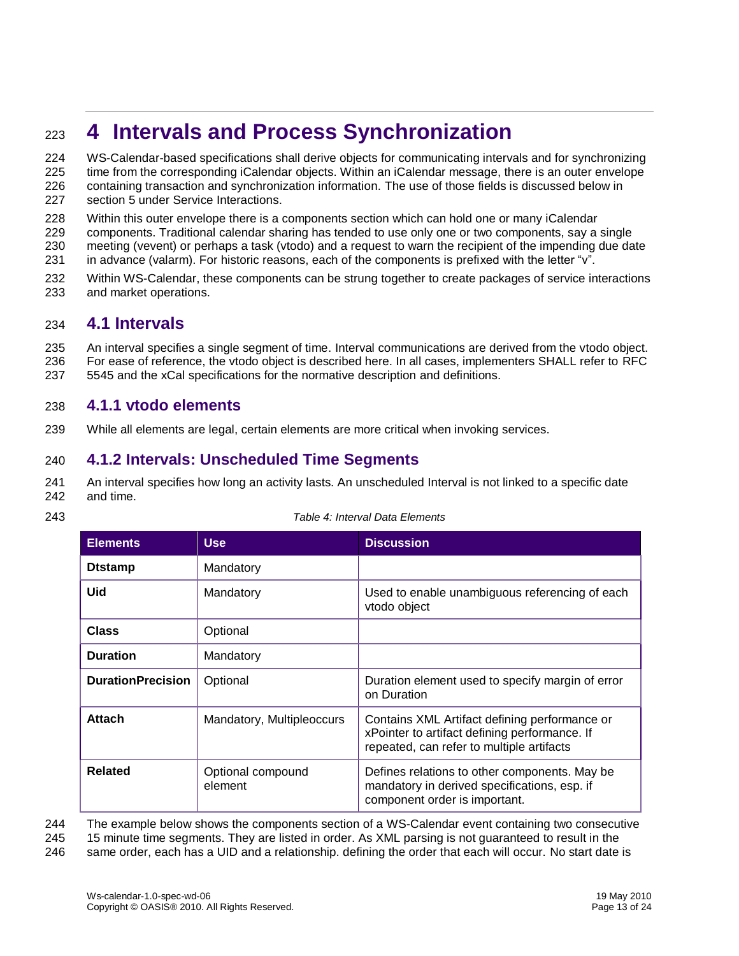# <span id="page-12-0"></span><sup>223</sup> **4 Intervals and Process Synchronization**

- 224 WS-Calendar-based specifications shall derive objects for communicating intervals and for synchronizing
- 225 time from the corresponding iCalendar objects. Within an iCalendar message, there is an outer envelope 226 containing transaction and synchronization information. The use of those fields is discussed below in
- 227 section [5](#page-16-0) under [Service Interactions.](#page-16-0)
- 228 Within this outer envelope there is a components section which can hold one or many iCalendar
- 229 components. Traditional calendar sharing has tended to use only one or two components, say a single
- 230 meeting (vevent) or perhaps a task (vtodo) and a request to warn the recipient of the impending due date
- 231 in advance (valarm). For historic reasons, each of the components is prefixed with the letter "v".
- 232 Within WS-Calendar, these components can be strung together to create packages of service interactions 233 and market operations.

### <span id="page-12-1"></span>234 **4.1 Intervals**

- 235 An interval specifies a single segment of time. Interval communications are derived from the vtodo object. 236 For ease of reference, the vtodo object is described here. In all cases, implementers SHALL refer to RFC
- 237 5545 and the xCal specifications for the normative description and definitions.

#### <span id="page-12-2"></span>238 **4.1.1 vtodo elements**

239 While all elements are legal, certain elements are more critical when invoking services.

### <span id="page-12-3"></span>240 **4.1.2 Intervals: Unscheduled Time Segments**

- 241 An interval specifies how long an activity lasts. An unscheduled Interval is not linked to a specific date 242 and time.
- 

| 243 | Table 4: Interval Data Elements |
|-----|---------------------------------|

| <b>Elements</b>          | <b>Use</b>                   | <b>Discussion</b>                                                                                                                           |
|--------------------------|------------------------------|---------------------------------------------------------------------------------------------------------------------------------------------|
| <b>D</b> tstamp          | Mandatory                    |                                                                                                                                             |
| Uid                      | Mandatory                    | Used to enable unambiguous referencing of each<br>vtodo object                                                                              |
| <b>Class</b>             | Optional                     |                                                                                                                                             |
| <b>Duration</b>          | Mandatory                    |                                                                                                                                             |
| <b>DurationPrecision</b> | Optional                     | Duration element used to specify margin of error<br>on Duration                                                                             |
| <b>Attach</b>            | Mandatory, Multipleoccurs    | Contains XML Artifact defining performance or<br>xPointer to artifact defining performance. If<br>repeated, can refer to multiple artifacts |
| <b>Related</b>           | Optional compound<br>element | Defines relations to other components. May be<br>mandatory in derived specifications, esp. if<br>component order is important.              |

244 The example below shows the components section of a WS-Calendar event containing two consecutive

245 15 minute time segments. They are listed in order. As XML parsing is not guaranteed to result in the 246 same order, each has a UID and a relationship. defining the order that each will occur. No start date is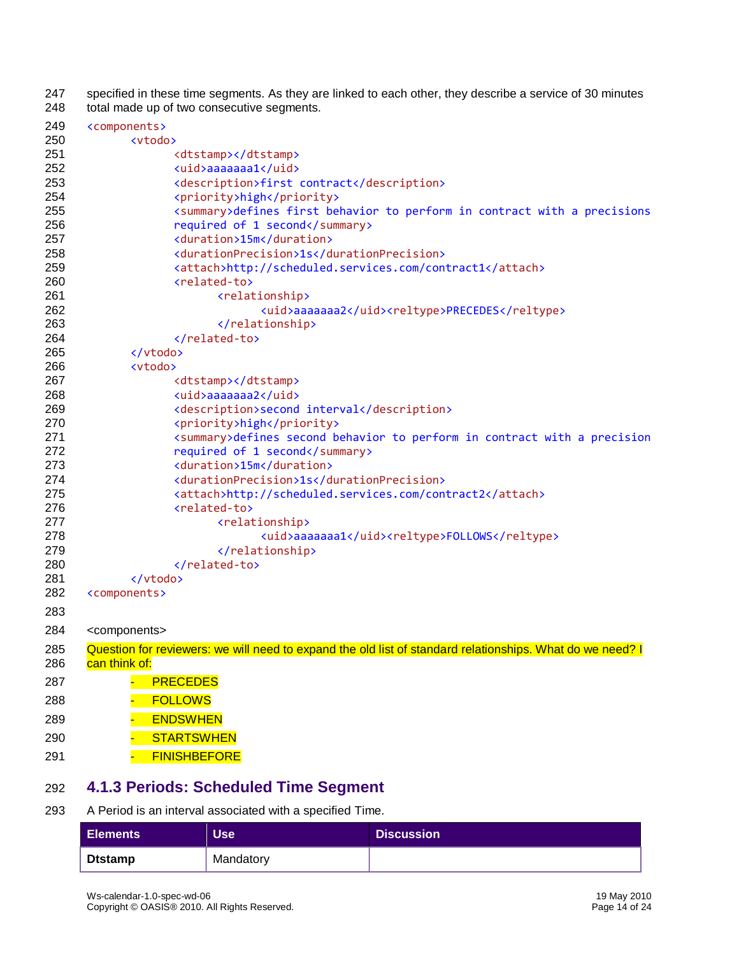247 specified in these time segments. As they are linked to each other, they describe a service of 30 minutes 248 total made up of two consecutive segments. total made up of two consecutive segments.

| 249        | <components></components>                                                                                 |
|------------|-----------------------------------------------------------------------------------------------------------|
| 250        | <vtodo></vtodo>                                                                                           |
| 251        | <dtstamp></dtstamp>                                                                                       |
| 252        | <uid>aaaaaaa1</uid>                                                                                       |
| 253        | <description>first contract</description>                                                                 |
| 254        | <priority>high</priority>                                                                                 |
| 255        | <summary>defines first behavior to perform in contract with a precisions</summary>                        |
| 256        | required of 1 second                                                                                      |
| 257        | <duration>15m</duration>                                                                                  |
| 258        | <durationprecision>1s</durationprecision>                                                                 |
| 259        | <attach>http://scheduled.services.com/contract1</attach>                                                  |
| 260        | <related-to></related-to>                                                                                 |
| 261        | <relationship></relationship>                                                                             |
| 262        | <uid>aaaaaaa2</uid> <reltype>PRECEDES</reltype>                                                           |
| 263        |                                                                                                           |
| 264        |                                                                                                           |
| 265        |                                                                                                           |
| 266<br>267 | <vtodo></vtodo>                                                                                           |
| 268        | <dtstamp></dtstamp><br><uid>aaaaaaa2</uid>                                                                |
| 269        | <description>second interval</description>                                                                |
| 270        | <priority>high</priority>                                                                                 |
| 271        | <summary>defines second behavior to perform in contract with a precision</summary>                        |
| 272        | required of 1 second                                                                                      |
| 273        | <duration>15m</duration>                                                                                  |
| 274        | <durationprecision>1s</durationprecision>                                                                 |
| 275        | <attach>http://scheduled.services.com/contract2</attach>                                                  |
| 276        | <related-to></related-to>                                                                                 |
| 277        | <relationship></relationship>                                                                             |
| 278        | <uid>aaaaaaa1</uid> <reltype>FOLLOWS</reltype>                                                            |
| 279        |                                                                                                           |
| 280        |                                                                                                           |
| 281        |                                                                                                           |
| 282        | <components></components>                                                                                 |
| 283        |                                                                                                           |
| 284        | <components></components>                                                                                 |
|            |                                                                                                           |
| 285        | Question for reviewers: we will need to expand the old list of standard relationships. What do we need? I |
| 286        | can think of:                                                                                             |
| 287        | <b>PRECEDES</b>                                                                                           |
| 288        | <b>FOLLOWS</b>                                                                                            |
| 289        | <b>ENDSWHEN</b>                                                                                           |
| 290        | <b>STARTSWHEN</b>                                                                                         |
| 291        | <b>FINISHBEFORE</b>                                                                                       |
|            |                                                                                                           |

# <span id="page-13-0"></span>**4.1.3 Periods: Scheduled Time Segment**

#### A Period is an interval associated with a specified Time.

| <b>Elements</b> | Use <sup>1</sup> | <b>Discussion</b> |
|-----------------|------------------|-------------------|
| <b>Dtstamp</b>  | Mandatory        |                   |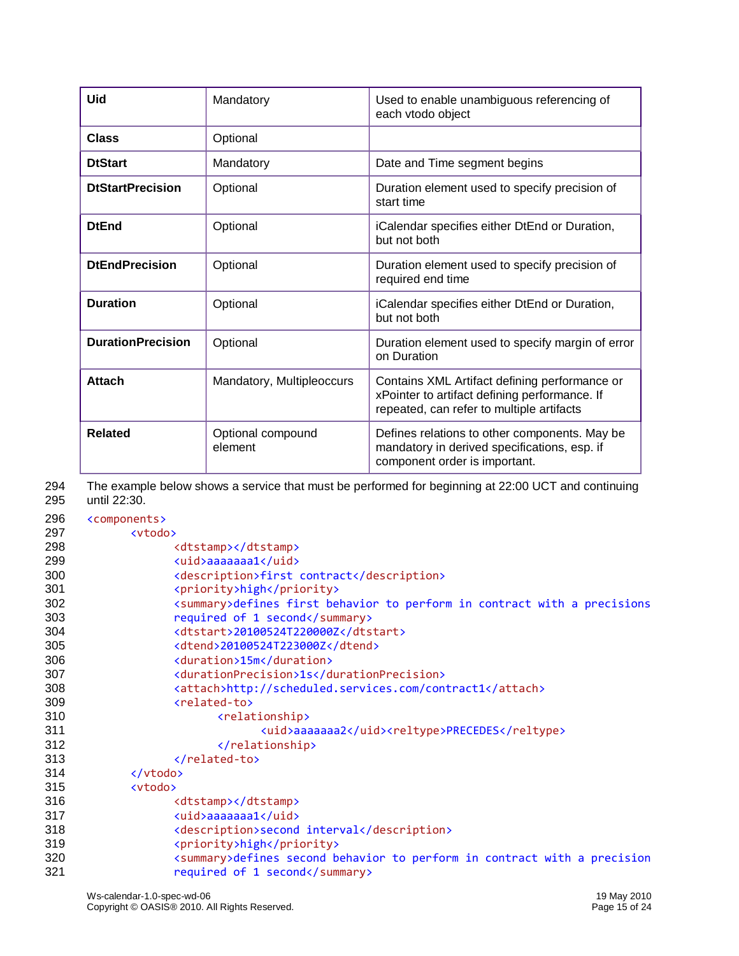| Uid                      | Mandatory                    | Used to enable unambiguous referencing of<br>each vtodo object                                                                              |
|--------------------------|------------------------------|---------------------------------------------------------------------------------------------------------------------------------------------|
| Class                    | Optional                     |                                                                                                                                             |
| <b>DtStart</b>           | Mandatory                    | Date and Time segment begins                                                                                                                |
| <b>DtStartPrecision</b>  | Optional                     | Duration element used to specify precision of<br>start time                                                                                 |
| <b>DtEnd</b>             | Optional                     | iCalendar specifies either DtEnd or Duration,<br>but not both                                                                               |
| <b>DtEndPrecision</b>    | Optional                     | Duration element used to specify precision of<br>required end time                                                                          |
| <b>Duration</b>          | Optional                     | iCalendar specifies either DtEnd or Duration,<br>but not both                                                                               |
| <b>DurationPrecision</b> | Optional                     | Duration element used to specify margin of error<br>on Duration                                                                             |
| <b>Attach</b>            | Mandatory, Multipleoccurs    | Contains XML Artifact defining performance or<br>xPointer to artifact defining performance. If<br>repeated, can refer to multiple artifacts |
| <b>Related</b>           | Optional compound<br>element | Defines relations to other components. May be<br>mandatory in derived specifications, esp. if<br>component order is important.              |

| 294 | The example below shows a service that must be performed for beginning at 22:00 UCT and continuing |
|-----|----------------------------------------------------------------------------------------------------|
| 295 | until 22:30.                                                                                       |

| 296 | <components></components>                                                          |
|-----|------------------------------------------------------------------------------------|
| 297 | <vtodo></vtodo>                                                                    |
| 298 | <dtstamp></dtstamp>                                                                |
| 299 | <uid>aaaaaaa1</uid>                                                                |
| 300 | <description>first contract</description>                                          |
| 301 | <priority>high</priority>                                                          |
| 302 | <summary>defines first behavior to perform in contract with a precisions</summary> |
| 303 | required of 1 second                                                               |
| 304 | <dtstart>20100524T220000Z</dtstart>                                                |
| 305 | <dtend>20100524T223000Z</dtend>                                                    |
| 306 | <duration>15m</duration>                                                           |
| 307 | <durationprecision>1s</durationprecision>                                          |
| 308 | <attach>http://scheduled.services.com/contract1</attach>                           |
| 309 | <related-to></related-to>                                                          |
| 310 | <relationship></relationship>                                                      |
| 311 | <uid>aaaaaaa2</uid> <reltype>PRECEDES</reltype>                                    |
| 312 |                                                                                    |
| 313 |                                                                                    |
| 314 |                                                                                    |
| 315 | <vtodo></vtodo>                                                                    |
| 316 | <dtstamp></dtstamp>                                                                |
| 317 | <uid>aaaaaaa1</uid>                                                                |
| 318 | <description>second interval</description>                                         |
| 319 | <priority>high</priority>                                                          |
| 320 | <summary>defines second behavior to perform in contract with a precision</summary> |
| 321 | required of 1 second                                                               |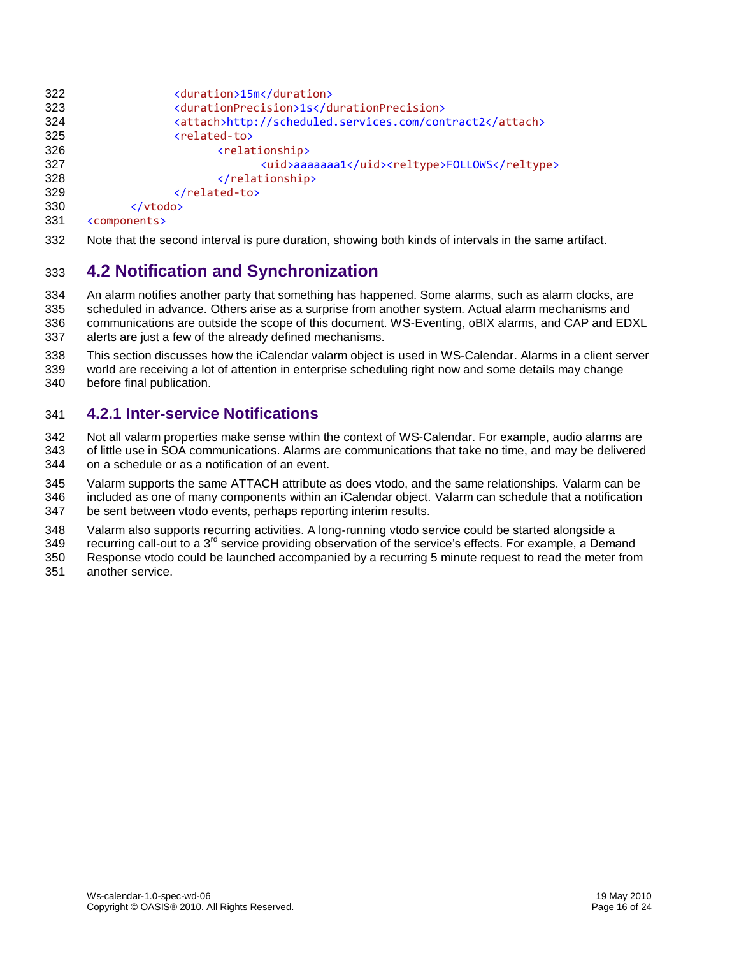```
322 <duration>15m</duration>
323 <durationPrecision>1s</durationPrecision>
                          324 <attach>http://scheduled.services.com/contract2</attach>
325 <related-to>
326 <a>
dentity<br/>
dentity<br/>
dentity<br/>
dentity<br/>
dentity<br/>
dentity<br/>
dentity<br/>
dentity<br/>
dentity<br/>
dentity<br/>
dentity<br/>
dentity<br/>
dentity<br/>
dentity<br/>
dentity<br/>
dentity<br/>
dentit
327 <uid>aaaaaaa1</uid><reltype>FOLLOWS</reltype>
328 </relationship><br>329 </related-to>
                          329 </related-to>
330 </vtodo><br>331 <components>
        331 <components>
```
Note that the second interval is pure duration, showing both kinds of intervals in the same artifact.

### <span id="page-15-0"></span>**4.2 Notification and Synchronization**

 An alarm notifies another party that something has happened. Some alarms, such as alarm clocks, are scheduled in advance. Others arise as a surprise from another system. Actual alarm mechanisms and communications are outside the scope of this document. WS-Eventing, oBIX alarms, and CAP and EDXL alerts are just a few of the already defined mechanisms.

This section discusses how the iCalendar valarm object is used in WS-Calendar. Alarms in a client server

 world are receiving a lot of attention in enterprise scheduling right now and some details may change before final publication.

### <span id="page-15-1"></span>**4.2.1 Inter-service Notifications**

Not all valarm properties make sense within the context of WS-Calendar. For example, audio alarms are

- of little use in SOA communications. Alarms are communications that take no time, and may be delivered on a schedule or as a notification of an event.
- Valarm supports the same ATTACH attribute as does vtodo, and the same relationships. Valarm can be
- included as one of many components within an iCalendar object. Valarm can schedule that a notification
- be sent between vtodo events, perhaps reporting interim results.

Valarm also supports recurring activities. A long-running vtodo service could be started alongside a

349 recurring call-out to a 3<sup>rd</sup> service providing observation of the service's effects. For example, a Demand

- Response vtodo could be launched accompanied by a recurring 5 minute request to read the meter from
- another service.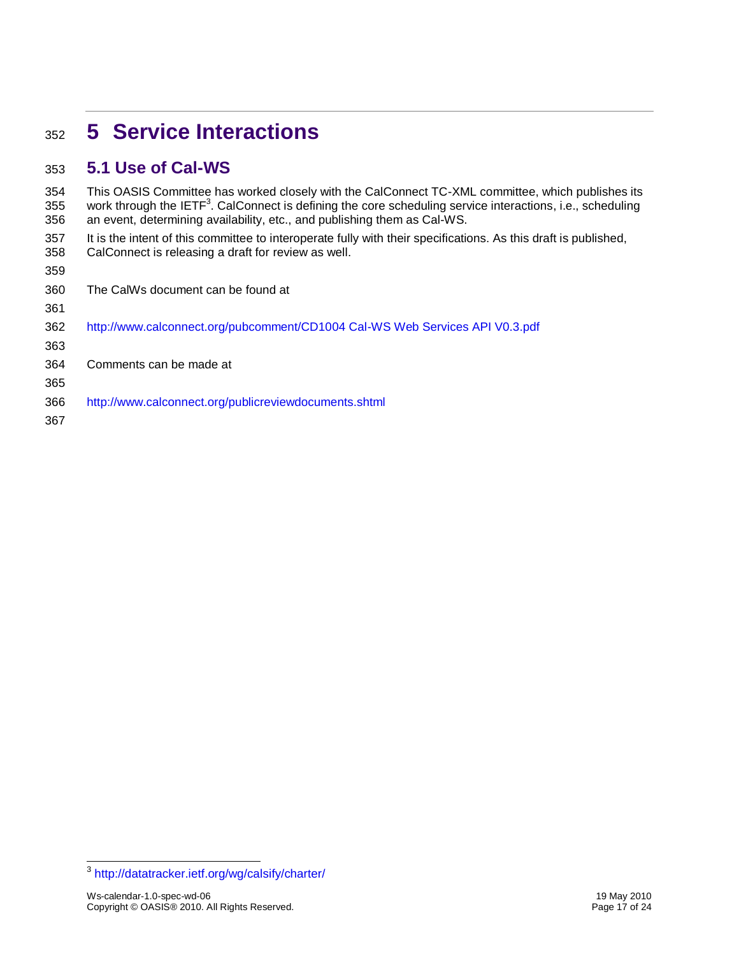# <span id="page-16-0"></span>**5 Service Interactions**

### <span id="page-16-1"></span>**5.1 Use of Cal-WS**

 This OASIS Committee has worked closely with the CalConnect TC-XML committee, which publishes its 355 work through the IETF<sup>3</sup>. CalConnect is defining the core scheduling service interactions, i.e., scheduling an event, determining availability, etc., and publishing them as Cal-WS.

 It is the intent of this committee to interoperate fully with their specifications. As this draft is published, CalConnect is releasing a draft for review as well.

| 360 | The CalWs document can be found at                                           |
|-----|------------------------------------------------------------------------------|
| 361 |                                                                              |
| 362 | http://www.calconnect.org/pubcomment/CD1004 Cal-WS Web Services API V0.3.pdf |
| 363 |                                                                              |
| 364 | Comments can be made at                                                      |
| 365 |                                                                              |
| 366 | http://www.calconnect.org/publicreviewdocuments.shtml                        |
| 367 |                                                                              |

<sup>-&</sup>lt;br><sup>3</sup> <http://datatracker.ietf.org/wg/calsify/charter/>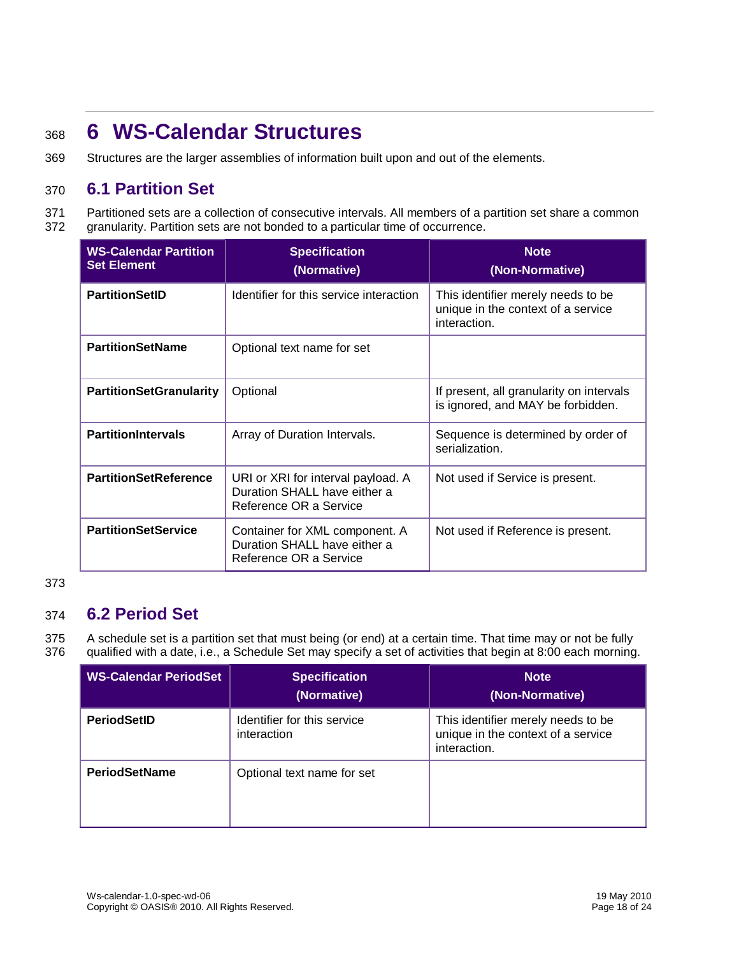# <span id="page-17-0"></span><sup>368</sup> **6 WS-Calendar Structures**

369 Structures are the larger assemblies of information built upon and out of the elements.

### <span id="page-17-1"></span>370 **6.1 Partition Set**

371 Partitioned sets are a collection of consecutive intervals. All members of a partition set share a common 372 granularity. Partition sets are not bonded to a particular time of occurrence.

| <b>WS-Calendar Partition</b><br><b>Set Element</b> | <b>Specification</b><br>(Normative)                                                          | <b>Note</b><br>(Non-Normative)                                                           |  |
|----------------------------------------------------|----------------------------------------------------------------------------------------------|------------------------------------------------------------------------------------------|--|
| <b>PartitionSetID</b>                              | Identifier for this service interaction                                                      | This identifier merely needs to be<br>unique in the context of a service<br>interaction. |  |
| <b>PartitionSetName</b>                            | Optional text name for set                                                                   |                                                                                          |  |
| <b>PartitionSetGranularity</b>                     | Optional                                                                                     | If present, all granularity on intervals<br>is ignored, and MAY be forbidden.            |  |
| <b>PartitionIntervals</b>                          | Array of Duration Intervals.                                                                 | Sequence is determined by order of<br>serialization.                                     |  |
| <b>PartitionSetReference</b>                       | URI or XRI for interval payload. A<br>Duration SHALL have either a<br>Reference OR a Service | Not used if Service is present.                                                          |  |
| <b>PartitionSetService</b>                         | Container for XML component. A<br>Duration SHALL have either a<br>Reference OR a Service     | Not used if Reference is present.                                                        |  |

#### 373

### <span id="page-17-2"></span>374 **6.2 Period Set**

375 A schedule set is a partition set that must being (or end) at a certain time. That time may or not be fully 376 qualified with a date, i.e., a Schedule Set may specify a set of activities that begin at 8:00 each morning.

| <b>I WS-Calendar PeriodSet</b> | <b>Specification</b><br>(Normative)        | <b>Note</b><br>(Non-Normative)                                                           |
|--------------------------------|--------------------------------------------|------------------------------------------------------------------------------------------|
| <b>PeriodSetID</b>             | Identifier for this service<br>interaction | This identifier merely needs to be<br>unique in the context of a service<br>interaction. |
| <b>PeriodSetName</b>           | Optional text name for set                 |                                                                                          |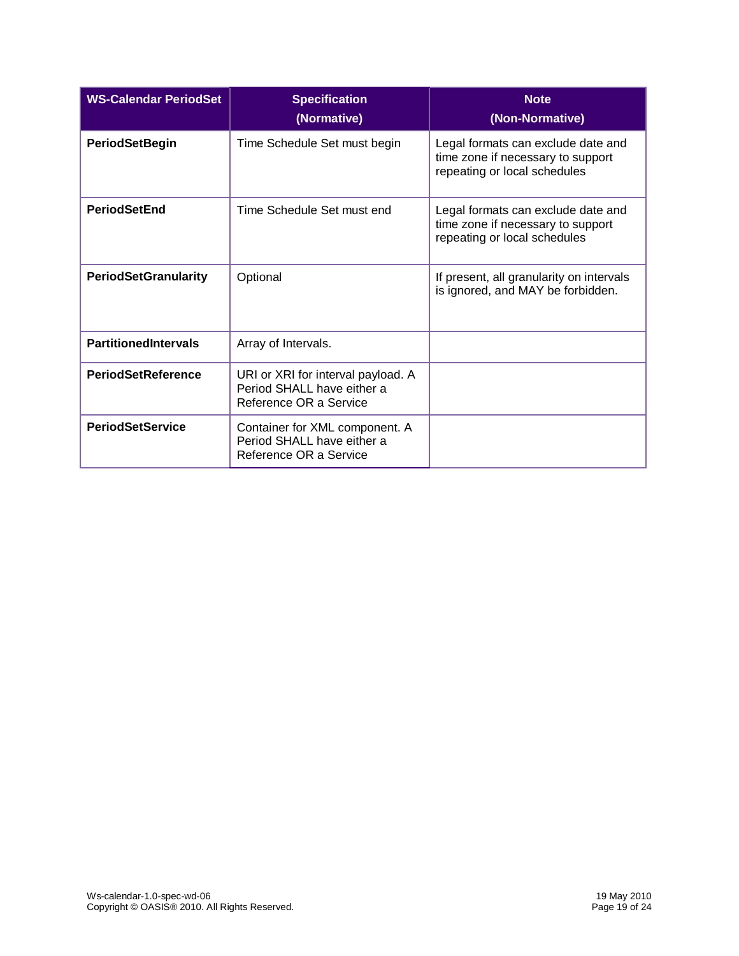| <b>WS-Calendar PeriodSet</b> | <b>Specification</b><br>(Normative)                                                        | <b>Note</b><br>(Non-Normative)                                                                          |
|------------------------------|--------------------------------------------------------------------------------------------|---------------------------------------------------------------------------------------------------------|
| <b>PeriodSetBegin</b>        | Time Schedule Set must begin                                                               | Legal formats can exclude date and<br>time zone if necessary to support<br>repeating or local schedules |
| <b>PeriodSetEnd</b>          | Time Schedule Set must end                                                                 | Legal formats can exclude date and<br>time zone if necessary to support<br>repeating or local schedules |
| <b>PeriodSetGranularity</b>  | Optional                                                                                   | If present, all granularity on intervals<br>is ignored, and MAY be forbidden.                           |
| <b>PartitionedIntervals</b>  | Array of Intervals.                                                                        |                                                                                                         |
| <b>PeriodSetReference</b>    | URI or XRI for interval payload. A<br>Period SHALL have either a<br>Reference OR a Service |                                                                                                         |
| <b>PeriodSetService</b>      | Container for XML component. A<br>Period SHALL have either a<br>Reference OR a Service     |                                                                                                         |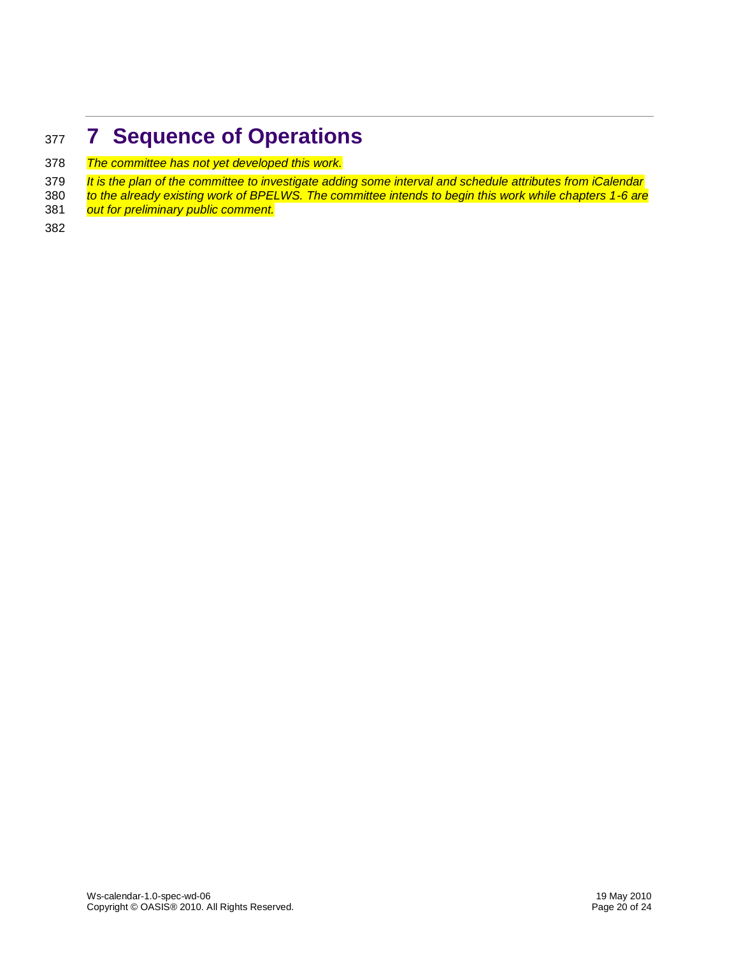# <span id="page-19-0"></span>**7 Sequence of Operations**

- *The committee has not yet developed this work.*
- *It is the plan of the committee to investigate adding some interval and schedule attributes from iCalendar*
- *to the already existing work of BPELWS. The committee intends to begin this work while chapters 1-6 are*
- out for preliminary public comment.
-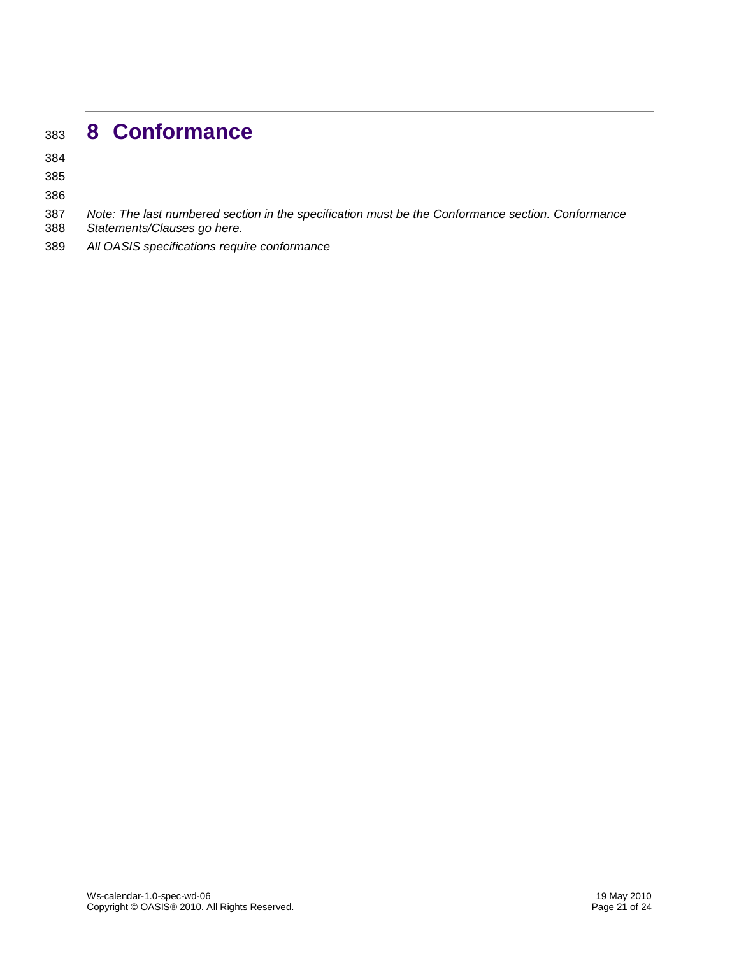# <span id="page-20-0"></span>**8 Conformance**

- *Note: The last numbered section in the specification must be the Conformance section. Conformance*
- *Statements/Clauses go here.*
- *All OASIS specifications require conformance*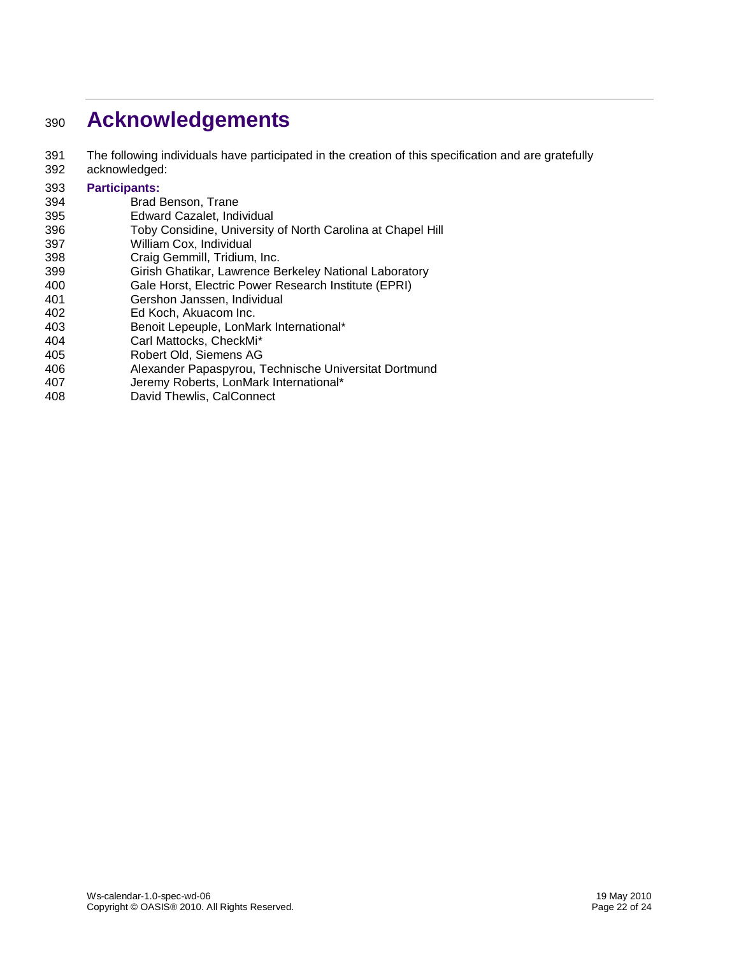# <span id="page-21-0"></span>**Acknowledgements**

- The following individuals have participated in the creation of this specification and are gratefully
- acknowledged:

#### **Participants:**

- Brad Benson, Trane
- Edward Cazalet, Individual
- Toby Considine, University of North Carolina at Chapel Hill
- William Cox, Individual
- Craig Gemmill, Tridium, Inc.
- Girish Ghatikar, Lawrence Berkeley National Laboratory
- Gale Horst, Electric Power Research Institute (EPRI)
- Gershon Janssen, Individual
- Ed Koch, Akuacom Inc.
- Benoit Lepeuple, LonMark International\*
- Carl Mattocks, CheckMi\*
- Robert Old, Siemens AG
- Alexander Papaspyrou, Technische Universitat Dortmund
- Jeremy Roberts, LonMark International\*
- David Thewlis, CalConnect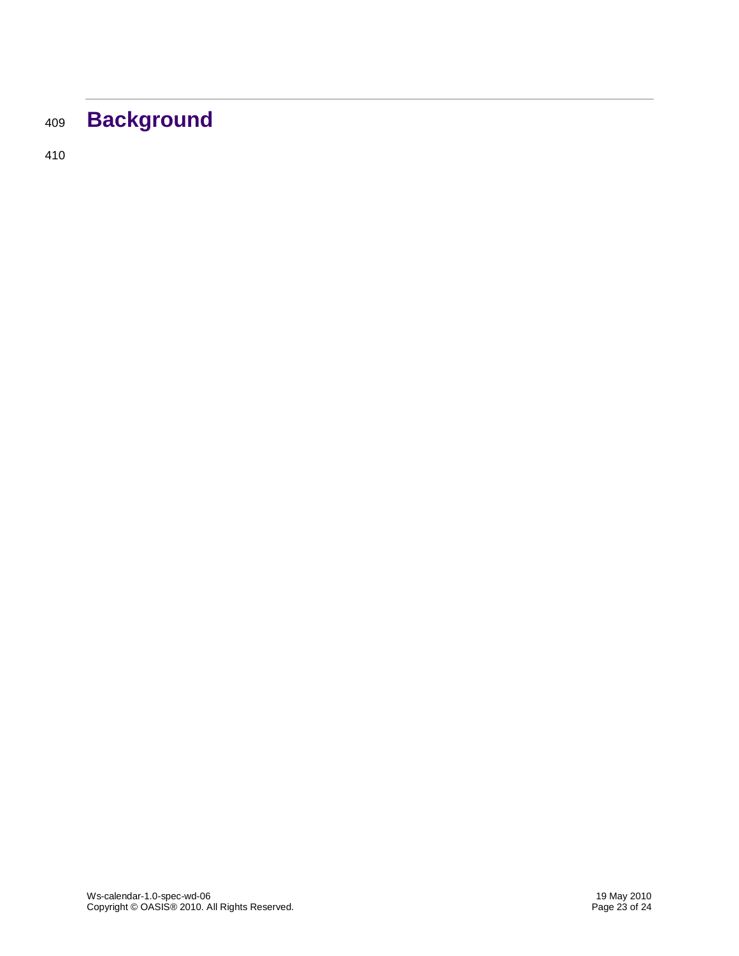# <span id="page-22-0"></span><sup>409</sup> **Background**

410